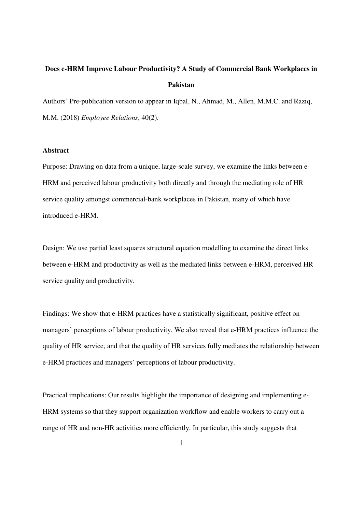# **Does e-HRM Improve Labour Productivity? A Study of Commercial Bank Workplaces in Pakistan**

Authors' Pre-publication version to appear in Iqbal, N., Ahmad, M., Allen, M.M.C. and Raziq, M.M. (2018) *Employee Relations*, 40(2).

# **Abstract**

Purpose: Drawing on data from a unique, large-scale survey, we examine the links between e-HRM and perceived labour productivity both directly and through the mediating role of HR service quality amongst commercial-bank workplaces in Pakistan, many of which have introduced e-HRM.

Design: We use partial least squares structural equation modelling to examine the direct links between e-HRM and productivity as well as the mediated links between e-HRM, perceived HR service quality and productivity.

Findings: We show that e-HRM practices have a statistically significant, positive effect on managers' perceptions of labour productivity. We also reveal that e-HRM practices influence the quality of HR service, and that the quality of HR services fully mediates the relationship between e-HRM practices and managers' perceptions of labour productivity.

Practical implications: Our results highlight the importance of designing and implementing e-HRM systems so that they support organization workflow and enable workers to carry out a range of HR and non-HR activities more efficiently. In particular, this study suggests that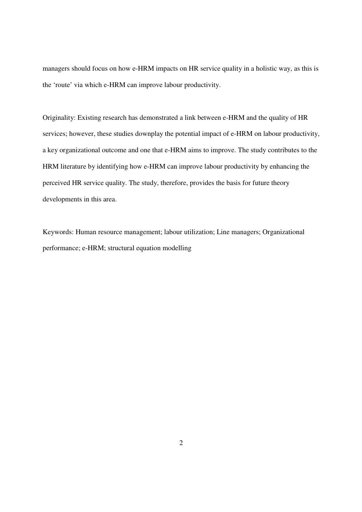managers should focus on how e-HRM impacts on HR service quality in a holistic way, as this is the 'route' via which e-HRM can improve labour productivity.

Originality: Existing research has demonstrated a link between e-HRM and the quality of HR services; however, these studies downplay the potential impact of e-HRM on labour productivity, a key organizational outcome and one that e-HRM aims to improve. The study contributes to the HRM literature by identifying how e-HRM can improve labour productivity by enhancing the perceived HR service quality. The study, therefore, provides the basis for future theory developments in this area.

Keywords: Human resource management; labour utilization; Line managers; Organizational performance; e-HRM; structural equation modelling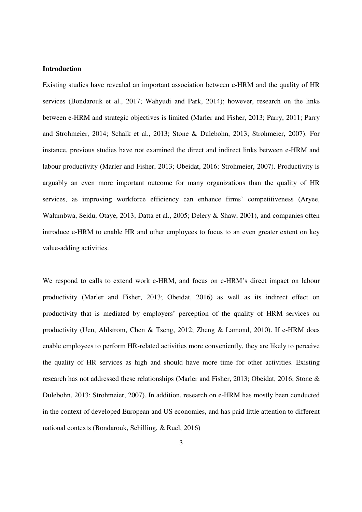# **Introduction**

Existing studies have revealed an important association between e-HRM and the quality of HR services (Bondarouk et al., 2017; Wahyudi and Park, 2014); however, research on the links between e-HRM and strategic objectives is limited (Marler and Fisher, 2013; Parry, 2011; Parry and Strohmeier, 2014; Schalk et al., 2013; Stone & Dulebohn, 2013; Strohmeier, 2007). For instance, previous studies have not examined the direct and indirect links between e-HRM and labour productivity (Marler and Fisher, 2013; Obeidat, 2016; Strohmeier, 2007). Productivity is arguably an even more important outcome for many organizations than the quality of HR services, as improving workforce efficiency can enhance firms' competitiveness (Aryee, Walumbwa, Seidu, Otaye, 2013; Datta et al., 2005; Delery & Shaw, 2001), and companies often introduce e-HRM to enable HR and other employees to focus to an even greater extent on key value-adding activities.

We respond to calls to extend work e-HRM, and focus on e-HRM's direct impact on labour productivity (Marler and Fisher, 2013; Obeidat, 2016) as well as its indirect effect on productivity that is mediated by employers' perception of the quality of HRM services on productivity (Uen, Ahlstrom, Chen & Tseng, 2012; Zheng & Lamond, 2010). If e-HRM does enable employees to perform HR-related activities more conveniently, they are likely to perceive the quality of HR services as high and should have more time for other activities. Existing research has not addressed these relationships (Marler and Fisher, 2013; Obeidat, 2016; Stone & Dulebohn, 2013; Strohmeier, 2007). In addition, research on e-HRM has mostly been conducted in the context of developed European and US economies, and has paid little attention to different national contexts (Bondarouk, Schilling, & Ruël, 2016)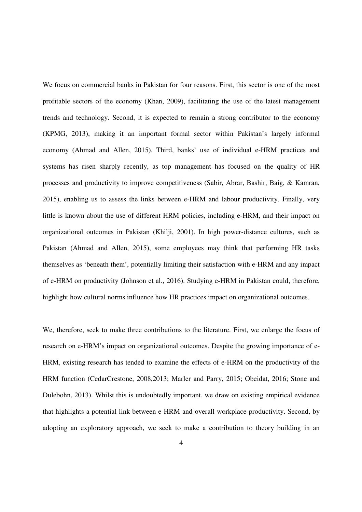We focus on commercial banks in Pakistan for four reasons. First, this sector is one of the most profitable sectors of the economy (Khan, 2009), facilitating the use of the latest management trends and technology. Second, it is expected to remain a strong contributor to the economy (KPMG, 2013), making it an important formal sector within Pakistan's largely informal economy (Ahmad and Allen, 2015). Third, banks' use of individual e-HRM practices and systems has risen sharply recently, as top management has focused on the quality of HR processes and productivity to improve competitiveness (Sabir, Abrar, Bashir, Baig, & Kamran, 2015), enabling us to assess the links between e-HRM and labour productivity. Finally, very little is known about the use of different HRM policies, including e-HRM, and their impact on organizational outcomes in Pakistan (Khilji, 2001). In high power-distance cultures, such as Pakistan (Ahmad and Allen, 2015), some employees may think that performing HR tasks themselves as 'beneath them', potentially limiting their satisfaction with e-HRM and any impact of e-HRM on productivity (Johnson et al., 2016). Studying e-HRM in Pakistan could, therefore, highlight how cultural norms influence how HR practices impact on organizational outcomes.

We, therefore, seek to make three contributions to the literature. First, we enlarge the focus of research on e-HRM's impact on organizational outcomes. Despite the growing importance of e-HRM, existing research has tended to examine the effects of e-HRM on the productivity of the HRM function (CedarCrestone, 2008,2013; Marler and Parry, 2015; Obeidat, 2016; Stone and Dulebohn, 2013). Whilst this is undoubtedly important, we draw on existing empirical evidence that highlights a potential link between e-HRM and overall workplace productivity. Second, by adopting an exploratory approach, we seek to make a contribution to theory building in an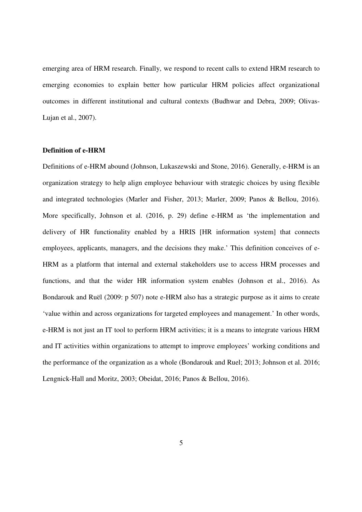emerging area of HRM research. Finally, we respond to recent calls to extend HRM research to emerging economies to explain better how particular HRM policies affect organizational outcomes in different institutional and cultural contexts (Budhwar and Debra, 2009; Olivas-Lujan et al., 2007).

### **Definition of e-HRM**

Definitions of e-HRM abound (Johnson, Lukaszewski and Stone, 2016). Generally, e-HRM is an organization strategy to help align employee behaviour with strategic choices by using flexible and integrated technologies (Marler and Fisher, 2013; Marler, 2009; Panos & Bellou, 2016). More specifically, Johnson et al. (2016, p. 29) define e-HRM as 'the implementation and delivery of HR functionality enabled by a HRIS [HR information system] that connects employees, applicants, managers, and the decisions they make.' This definition conceives of e-HRM as a platform that internal and external stakeholders use to access HRM processes and functions, and that the wider HR information system enables (Johnson et al., 2016). As Bondarouk and Ruël (2009: p 507) note e-HRM also has a strategic purpose as it aims to create 'value within and across organizations for targeted employees and management.' In other words, e-HRM is not just an IT tool to perform HRM activities; it is a means to integrate various HRM and IT activities within organizations to attempt to improve employees' working conditions and the performance of the organization as a whole (Bondarouk and Ruel; 2013; Johnson et al. 2016; Lengnick-Hall and Moritz, 2003; Obeidat, 2016; Panos & Bellou, 2016).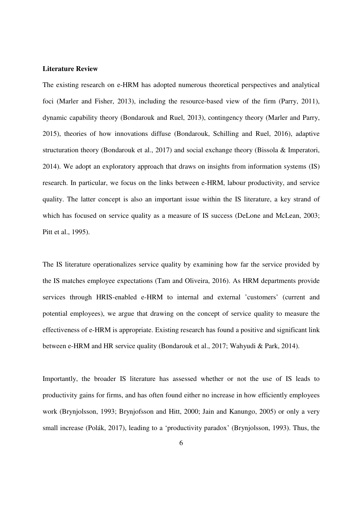# **Literature Review**

The existing research on e-HRM has adopted numerous theoretical perspectives and analytical foci (Marler and Fisher, 2013), including the resource-based view of the firm (Parry, 2011), dynamic capability theory (Bondarouk and Ruel, 2013), contingency theory (Marler and Parry, 2015), theories of how innovations diffuse (Bondarouk, Schilling and Ruel, 2016), adaptive structuration theory (Bondarouk et al., 2017) and social exchange theory (Bissola & Imperatori, 2014). We adopt an exploratory approach that draws on insights from information systems (IS) research. In particular, we focus on the links between e-HRM, labour productivity, and service quality. The latter concept is also an important issue within the IS literature, a key strand of which has focused on service quality as a measure of IS success (DeLone and McLean, 2003; Pitt et al., 1995).

The IS literature operationalizes service quality by examining how far the service provided by the IS matches employee expectations (Tam and Oliveira, 2016). As HRM departments provide services through HRIS-enabled e-HRM to internal and external 'customers' (current and potential employees), we argue that drawing on the concept of service quality to measure the effectiveness of e-HRM is appropriate. Existing research has found a positive and significant link between e-HRM and HR service quality (Bondarouk et al., 2017; Wahyudi & Park, 2014).

Importantly, the broader IS literature has assessed whether or not the use of IS leads to productivity gains for firms, and has often found either no increase in how efficiently employees work (Brynjolsson, 1993; Brynjofsson and Hitt, 2000; Jain and Kanungo, 2005) or only a very small increase (Polák, 2017), leading to a 'productivity paradox' (Brynjolsson, 1993). Thus, the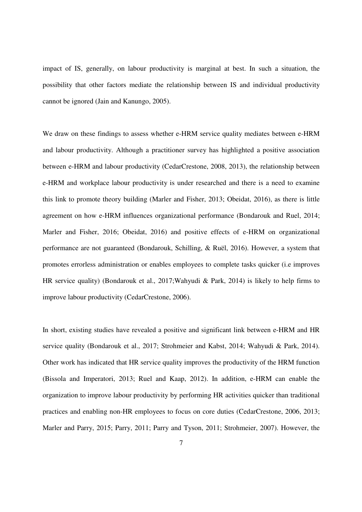impact of IS, generally, on labour productivity is marginal at best. In such a situation, the possibility that other factors mediate the relationship between IS and individual productivity cannot be ignored (Jain and Kanungo, 2005).

We draw on these findings to assess whether e-HRM service quality mediates between e-HRM and labour productivity. Although a practitioner survey has highlighted a positive association between e-HRM and labour productivity (CedarCrestone, 2008, 2013), the relationship between e-HRM and workplace labour productivity is under researched and there is a need to examine this link to promote theory building (Marler and Fisher, 2013; Obeidat, 2016), as there is little agreement on how e-HRM influences organizational performance (Bondarouk and Ruel, 2014; Marler and Fisher, 2016; Obeidat, 2016) and positive effects of e-HRM on organizational performance are not guaranteed (Bondarouk, Schilling, & Ruël, 2016). However, a system that promotes errorless administration or enables employees to complete tasks quicker (i.e improves HR service quality) (Bondarouk et al., 2017;Wahyudi & Park, 2014) is likely to help firms to improve labour productivity (CedarCrestone, 2006).

In short, existing studies have revealed a positive and significant link between e-HRM and HR service quality (Bondarouk et al., 2017; Strohmeier and Kabst, 2014; Wahyudi & Park, 2014). Other work has indicated that HR service quality improves the productivity of the HRM function (Bissola and Imperatori, 2013; Ruel and Kaap, 2012). In addition, e-HRM can enable the organization to improve labour productivity by performing HR activities quicker than traditional practices and enabling non-HR employees to focus on core duties (CedarCrestone, 2006, 2013; Marler and Parry, 2015; Parry, 2011; Parry and Tyson, 2011; Strohmeier, 2007). However, the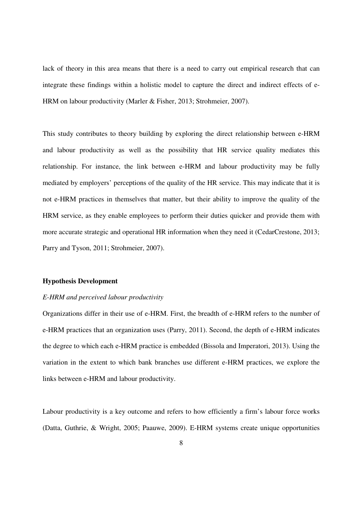lack of theory in this area means that there is a need to carry out empirical research that can integrate these findings within a holistic model to capture the direct and indirect effects of e-HRM on labour productivity (Marler & Fisher, 2013; Strohmeier, 2007).

This study contributes to theory building by exploring the direct relationship between e-HRM and labour productivity as well as the possibility that HR service quality mediates this relationship. For instance, the link between e-HRM and labour productivity may be fully mediated by employers' perceptions of the quality of the HR service. This may indicate that it is not e-HRM practices in themselves that matter, but their ability to improve the quality of the HRM service, as they enable employees to perform their duties quicker and provide them with more accurate strategic and operational HR information when they need it (CedarCrestone, 2013; Parry and Tyson, 2011; Strohmeier, 2007).

#### **Hypothesis Development**

# *E-HRM and perceived labour productivity*

Organizations differ in their use of e-HRM. First, the breadth of e-HRM refers to the number of e-HRM practices that an organization uses (Parry, 2011). Second, the depth of e-HRM indicates the degree to which each e-HRM practice is embedded (Bissola and Imperatori, 2013). Using the variation in the extent to which bank branches use different e-HRM practices, we explore the links between e-HRM and labour productivity.

Labour productivity is a key outcome and refers to how efficiently a firm's labour force works (Datta, Guthrie, & Wright, 2005; Paauwe, 2009). E-HRM systems create unique opportunities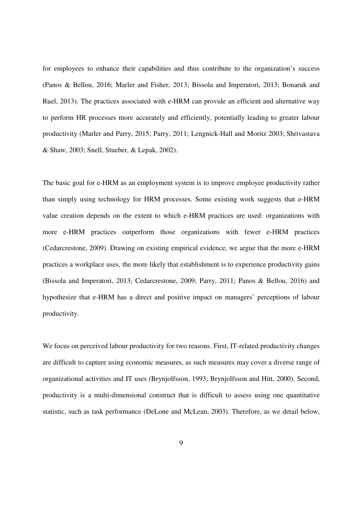for employees to enhance their capabilities and thus contribute to the organization's success (Panos & Bellou, 2016; Marler and Fisher, 2013; Bissola and Imperatori, 2013; Bonaruk and Ruel, 2013). The practices associated with e-HRM can provide an efficient and alternative way to perform HR processes more accurately and efficiently, potentially leading to greater labour productivity (Marler and Parry, 2015; Parry, 2011; Lengnick-Hall and Moritz 2003; Shrivastava & Shaw, 2003; Snell, Stueber, & Lepak, 2002).

The basic goal for e-HRM as an employment system is to improve employee productivity rather than simply using technology for HRM processes. Some existing work suggests that e-HRM value creation depends on the extent to which e-HRM practices are used: organizations with more e-HRM practices outperform those organizations with fewer e-HRM practices (Cedarcrestone, 2009). Drawing on existing empirical evidence, we argue that the more e-HRM practices a workplace uses, the more likely that establishment is to experience productivity gains (Bissola and Imperatori, 2013; Cedarcrestone, 2009; Parry, 2011; Panos & Bellou, 2016) and hypothesize that e-HRM has a direct and positive impact on managers' perceptions of labour productivity.

We focus on perceived labour productivity for two reasons. First, IT-related productivity changes are difficult to capture using economic measures, as such measures may cover a diverse range of organizational activities and IT uses (Brynjolfsson, 1993; Brynjolfsson and Hitt, 2000). Second, productivity is a multi-dimensional construct that is difficult to assess using one quantitative statistic, such as task performance (DeLone and McLean, 2003). Therefore, as we detail below,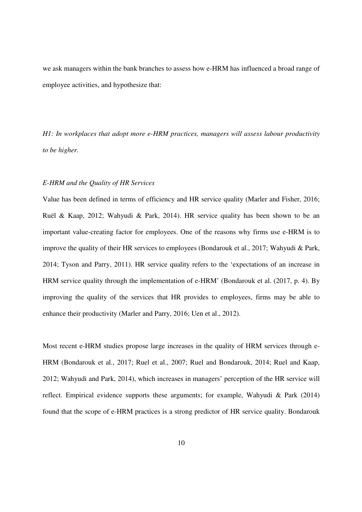we ask managers within the bank branches to assess how e-HRM has influenced a broad range of employee activities, and hypothesize that:

*H1: In workplaces that adopt more e-HRM practices, managers will assess labour productivity to be higher.*

### *E-HRM and the Quality of HR Services*

Value has been defined in terms of efficiency and HR service quality (Marler and Fisher, 2016; Ruël & Kaap, 2012; Wahyudi & Park, 2014). HR service quality has been shown to be an important value-creating factor for employees. One of the reasons why firms use e-HRM is to improve the quality of their HR services to employees (Bondarouk et al., 2017; Wahyudi & Park, 2014; Tyson and Parry, 2011). HR service quality refers to the 'expectations of an increase in HRM service quality through the implementation of e-HRM' (Bondarouk et al. (2017, p. 4). By improving the quality of the services that HR provides to employees, firms may be able to enhance their productivity (Marler and Parry, 2016; Uen et al., 2012).

Most recent e-HRM studies propose large increases in the quality of HRM services through e-HRM (Bondarouk et al., 2017; Ruel et al., 2007; Ruel and Bondarouk, 2014; Ruel and Kaap, 2012; Wahyudi and Park, 2014), which increases in managers' perception of the HR service will reflect. Empirical evidence supports these arguments; for example, Wahyudi & Park (2014) found that the scope of e-HRM practices is a strong predictor of HR service quality. Bondarouk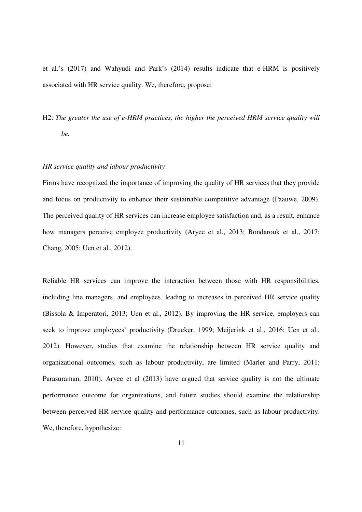et al.'s (2017) and Wahyudi and Park's (2014) results indicate that e-HRM is positively associated with HR service quality. We, therefore, propose:

H2: *The greater the use of e-HRM practices, the higher the perceived HRM service quality will be.*

## *HR service quality and labour productivity*

Firms have recognized the importance of improving the quality of HR services that they provide and focus on productivity to enhance their sustainable competitive advantage (Paauwe, 2009). The perceived quality of HR services can increase employee satisfaction and, as a result, enhance how managers perceive employee productivity (Aryee et al., 2013; Bondarouk et al., 2017; Chang, 2005; Uen et al., 2012).

Reliable HR services can improve the interaction between those with HR responsibilities, including line managers, and employees, leading to increases in perceived HR service quality (Bissola & Imperatori, 2013; Uen et al., 2012). By improving the HR service, employers can seek to improve employees' productivity (Drucker, 1999; Meijerink et al., 2016; Uen et al., 2012). However, studies that examine the relationship between HR service quality and organizational outcomes, such as labour productivity, are limited (Marler and Parry, 2011; Parasuraman, 2010). Aryee et al (2013) have argued that service quality is not the ultimate performance outcome for organizations, and future studies should examine the relationship between perceived HR service quality and performance outcomes, such as labour productivity. We, therefore, hypothesize: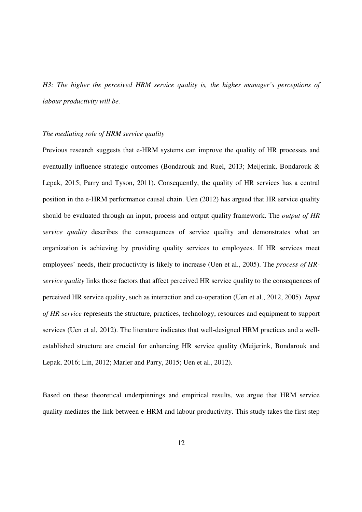*H3: The higher the perceived HRM service quality is, the higher manager's perceptions of labour productivity will be.* 

# *The mediating role of HRM service quality*

Previous research suggests that e-HRM systems can improve the quality of HR processes and eventually influence strategic outcomes (Bondarouk and Ruel, 2013; Meijerink, Bondarouk & Lepak, 2015; Parry and Tyson, 2011). Consequently, the quality of HR services has a central position in the e-HRM performance causal chain. Uen (2012) has argued that HR service quality should be evaluated through an input, process and output quality framework. The *output of HR service quality* describes the consequences of service quality and demonstrates what an organization is achieving by providing quality services to employees. If HR services meet employees' needs, their productivity is likely to increase (Uen et al., 2005). The *process of HRservice quality* links those factors that affect perceived HR service quality to the consequences of perceived HR service quality, such as interaction and co-operation (Uen et al., 2012, 2005). *Input of HR service* represents the structure, practices, technology, resources and equipment to support services (Uen et al, 2012). The literature indicates that well-designed HRM practices and a wellestablished structure are crucial for enhancing HR service quality (Meijerink, Bondarouk and Lepak, 2016; Lin, 2012; Marler and Parry, 2015; Uen et al., 2012).

Based on these theoretical underpinnings and empirical results, we argue that HRM service quality mediates the link between e-HRM and labour productivity. This study takes the first step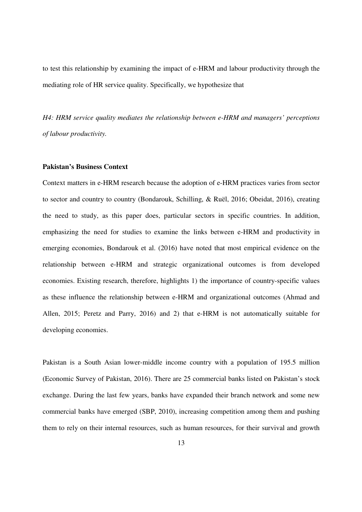to test this relationship by examining the impact of e-HRM and labour productivity through the mediating role of HR service quality. Specifically, we hypothesize that

*H4: HRM service quality mediates the relationship between e-HRM and managers' perceptions of labour productivity.* 

# **Pakistan's Business Context**

Context matters in e-HRM research because the adoption of e-HRM practices varies from sector to sector and country to country (Bondarouk, Schilling, & Ruël, 2016; Obeidat, 2016), creating the need to study, as this paper does, particular sectors in specific countries. In addition, emphasizing the need for studies to examine the links between e-HRM and productivity in emerging economies, Bondarouk et al. (2016) have noted that most empirical evidence on the relationship between e-HRM and strategic organizational outcomes is from developed economies. Existing research, therefore, highlights 1) the importance of country-specific values as these influence the relationship between e-HRM and organizational outcomes (Ahmad and Allen, 2015; Peretz and Parry, 2016) and 2) that e-HRM is not automatically suitable for developing economies.

Pakistan is a South Asian lower-middle income country with a population of 195.5 million (Economic Survey of Pakistan, 2016). There are 25 commercial banks listed on Pakistan's stock exchange. During the last few years, banks have expanded their branch network and some new commercial banks have emerged (SBP, 2010), increasing competition among them and pushing them to rely on their internal resources, such as human resources, for their survival and growth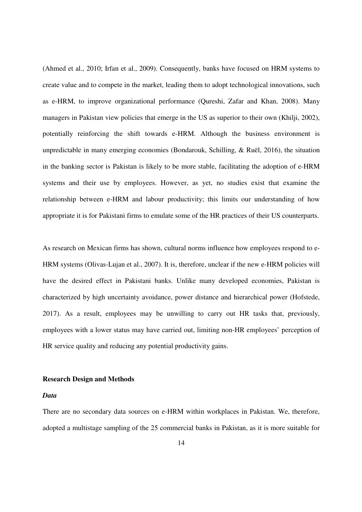(Ahmed et al., 2010; Irfan et al., 2009). Consequently, banks have focused on HRM systems to create value and to compete in the market, leading them to adopt technological innovations, such as e-HRM, to improve organizational performance (Qureshi, Zafar and Khan, 2008). Many managers in Pakistan view policies that emerge in the US as superior to their own (Khilji, 2002), potentially reinforcing the shift towards e-HRM. Although the business environment is unpredictable in many emerging economies (Bondarouk, Schilling, & Ruël, 2016), the situation in the banking sector is Pakistan is likely to be more stable, facilitating the adoption of e-HRM systems and their use by employees. However, as yet, no studies exist that examine the relationship between e-HRM and labour productivity; this limits our understanding of how appropriate it is for Pakistani firms to emulate some of the HR practices of their US counterparts.

As research on Mexican firms has shown, cultural norms influence how employees respond to e-HRM systems (Olivas-Lujan et al., 2007). It is, therefore, unclear if the new e-HRM policies will have the desired effect in Pakistani banks. Unlike many developed economies, Pakistan is characterized by high uncertainty avoidance, power distance and hierarchical power (Hofstede, 2017). As a result, employees may be unwilling to carry out HR tasks that, previously, employees with a lower status may have carried out, limiting non-HR employees' perception of HR service quality and reducing any potential productivity gains.

#### **Research Design and Methods**

# *Data*

There are no secondary data sources on e-HRM within workplaces in Pakistan. We, therefore, adopted a multistage sampling of the 25 commercial banks in Pakistan, as it is more suitable for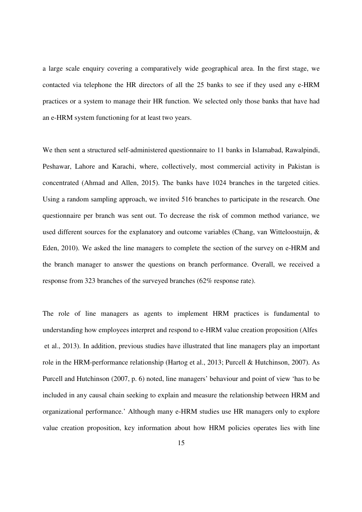a large scale enquiry covering a comparatively wide geographical area. In the first stage, we contacted via telephone the HR directors of all the 25 banks to see if they used any e-HRM practices or a system to manage their HR function. We selected only those banks that have had an e-HRM system functioning for at least two years.

We then sent a structured self-administered questionnaire to 11 banks in Islamabad, Rawalpindi, Peshawar, Lahore and Karachi, where, collectively, most commercial activity in Pakistan is concentrated (Ahmad and Allen, 2015). The banks have 1024 branches in the targeted cities. Using a random sampling approach, we invited 516 branches to participate in the research. One questionnaire per branch was sent out. To decrease the risk of common method variance, we used different sources for the explanatory and outcome variables (Chang, van Witteloostuijn, & Eden, 2010). We asked the line managers to complete the section of the survey on e-HRM and the branch manager to answer the questions on branch performance. Overall, we received a response from 323 branches of the surveyed branches (62% response rate).

The role of line managers as agents to implement HRM practices is fundamental to understanding how employees interpret and respond to e-HRM value creation proposition (Alfes et al., 2013). In addition, previous studies have illustrated that line managers play an important role in the HRM-performance relationship (Hartog et al., 2013; Purcell & Hutchinson, 2007). As Purcell and Hutchinson (2007, p. 6) noted, line managers' behaviour and point of view 'has to be included in any causal chain seeking to explain and measure the relationship between HRM and organizational performance.' Although many e-HRM studies use HR managers only to explore value creation proposition, key information about how HRM policies operates lies with line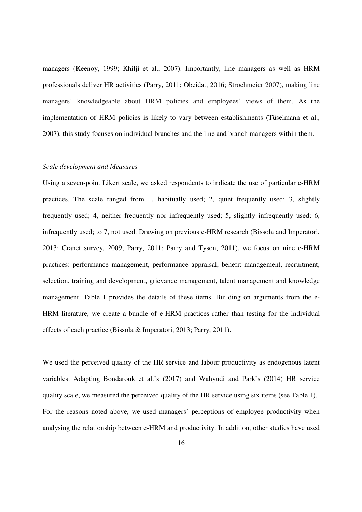managers (Keenoy, 1999; Khilji et al., 2007). Importantly, line managers as well as HRM professionals deliver HR activities (Parry, 2011; Obeidat, 2016; Stroehmeier 2007), making line managers' knowledgeable about HRM policies and employees' views of them. As the implementation of HRM policies is likely to vary between establishments (Tüselmann et al., 2007), this study focuses on individual branches and the line and branch managers within them.

#### *Scale development and Measures*

Using a seven-point Likert scale, we asked respondents to indicate the use of particular e-HRM practices. The scale ranged from 1, habitually used; 2, quiet frequently used; 3, slightly frequently used; 4, neither frequently nor infrequently used; 5, slightly infrequently used; 6, infrequently used; to 7, not used. Drawing on previous e-HRM research (Bissola and Imperatori, 2013; Cranet survey, 2009; Parry, 2011; Parry and Tyson, 2011), we focus on nine e-HRM practices: performance management, performance appraisal, benefit management, recruitment, selection, training and development, grievance management, talent management and knowledge management. Table 1 provides the details of these items. Building on arguments from the e-HRM literature, we create a bundle of e-HRM practices rather than testing for the individual effects of each practice (Bissola & Imperatori, 2013; Parry, 2011).

We used the perceived quality of the HR service and labour productivity as endogenous latent variables. Adapting Bondarouk et al.'s (2017) and Wahyudi and Park's (2014) HR service quality scale, we measured the perceived quality of the HR service using six items (see Table 1). For the reasons noted above, we used managers' perceptions of employee productivity when analysing the relationship between e-HRM and productivity. In addition, other studies have used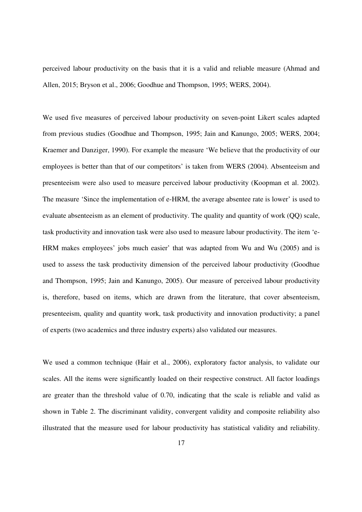perceived labour productivity on the basis that it is a valid and reliable measure (Ahmad and Allen, 2015; Bryson et al., 2006; Goodhue and Thompson, 1995; WERS, 2004).

We used five measures of perceived labour productivity on seven-point Likert scales adapted from previous studies (Goodhue and Thompson, 1995; Jain and Kanungo, 2005; WERS, 2004; Kraemer and Danziger, 1990). For example the measure 'We believe that the productivity of our employees is better than that of our competitors' is taken from WERS (2004). Absenteeism and presenteeism were also used to measure perceived labour productivity (Koopman et al. 2002). The measure 'Since the implementation of e-HRM, the average absentee rate is lower' is used to evaluate absenteeism as an element of productivity. The quality and quantity of work (QQ) scale, task productivity and innovation task were also used to measure labour productivity. The item 'e-HRM makes employees' jobs much easier' that was adapted from Wu and Wu (2005) and is used to assess the task productivity dimension of the perceived labour productivity (Goodhue and Thompson, 1995; Jain and Kanungo, 2005). Our measure of perceived labour productivity is, therefore, based on items, which are drawn from the literature, that cover absenteeism, presenteeism, quality and quantity work, task productivity and innovation productivity; a panel of experts (two academics and three industry experts) also validated our measures.

We used a common technique (Hair et al., 2006), exploratory factor analysis, to validate our scales. All the items were significantly loaded on their respective construct. All factor loadings are greater than the threshold value of 0.70, indicating that the scale is reliable and valid as shown in Table 2. The discriminant validity, convergent validity and composite reliability also illustrated that the measure used for labour productivity has statistical validity and reliability.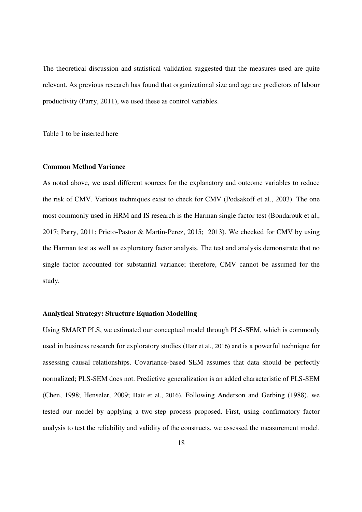The theoretical discussion and statistical validation suggested that the measures used are quite relevant. As previous research has found that organizational size and age are predictors of labour productivity (Parry, 2011), we used these as control variables.

Table 1 to be inserted here

#### **Common Method Variance**

As noted above, we used different sources for the explanatory and outcome variables to reduce the risk of CMV. Various techniques exist to check for CMV (Podsakoff et al., 2003). The one most commonly used in HRM and IS research is the Harman single factor test (Bondarouk et al., 2017; Parry, 2011; Prieto-Pastor & Martin-Perez, 2015; 2013). We checked for CMV by using the Harman test as well as exploratory factor analysis. The test and analysis demonstrate that no single factor accounted for substantial variance; therefore, CMV cannot be assumed for the study.

#### **Analytical Strategy: Structure Equation Modelling**

Using SMART PLS, we estimated our conceptual model through PLS-SEM, which is commonly used in business research for exploratory studies (Hair et al., 2016) and is a powerful technique for assessing causal relationships. Covariance-based SEM assumes that data should be perfectly normalized; PLS-SEM does not. Predictive generalization is an added characteristic of PLS-SEM (Chen, 1998; Henseler, 2009; Hair et al., 2016). Following Anderson and Gerbing (1988), we tested our model by applying a two-step process proposed. First, using confirmatory factor analysis to test the reliability and validity of the constructs, we assessed the measurement model.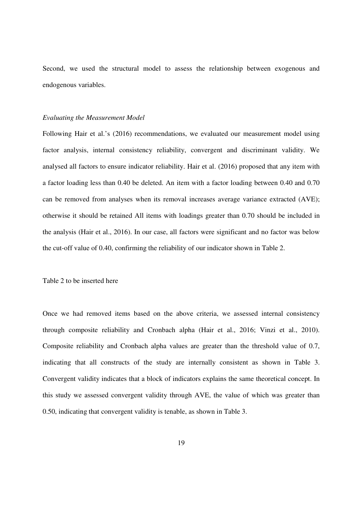Second, we used the structural model to assess the relationship between exogenous and endogenous variables.

#### *Evaluating the Measurement Model*

Following Hair et al.'s (2016) recommendations, we evaluated our measurement model using factor analysis, internal consistency reliability, convergent and discriminant validity. We analysed all factors to ensure indicator reliability. Hair et al. (2016) proposed that any item with a factor loading less than 0.40 be deleted. An item with a factor loading between 0.40 and 0.70 can be removed from analyses when its removal increases average variance extracted (AVE); otherwise it should be retained All items with loadings greater than 0.70 should be included in the analysis (Hair et al., 2016). In our case, all factors were significant and no factor was below the cut-off value of 0.40, confirming the reliability of our indicator shown in Table 2.

# Table 2 to be inserted here

Once we had removed items based on the above criteria, we assessed internal consistency through composite reliability and Cronbach alpha (Hair et al., 2016; Vinzi et al., 2010). Composite reliability and Cronbach alpha values are greater than the threshold value of 0.7, indicating that all constructs of the study are internally consistent as shown in Table 3. Convergent validity indicates that a block of indicators explains the same theoretical concept. In this study we assessed convergent validity through AVE, the value of which was greater than 0.50, indicating that convergent validity is tenable, as shown in Table 3.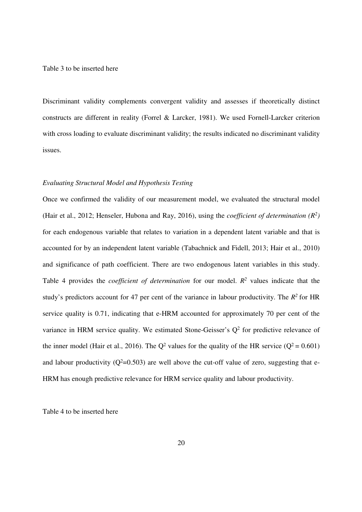Table 3 to be inserted here

Discriminant validity complements convergent validity and assesses if theoretically distinct constructs are different in reality (Forrel & Larcker, 1981). We used Fornell-Larcker criterion with cross loading to evaluate discriminant validity; the results indicated no discriminant validity issues.

# *Evaluating Structural Model and Hypothesis Testing*

Once we confirmed the validity of our measurement model, we evaluated the structural model (Hair et al., 2012; Henseler, Hubona and Ray, 2016), using the *coefficient of determination (R<sup>2</sup> )* for each endogenous variable that relates to variation in a dependent latent variable and that is accounted for by an independent latent variable (Tabachnick and Fidell, 2013; Hair et al., 2010) and significance of path coefficient. There are two endogenous latent variables in this study. Table 4 provides the *coefficient of determination* for our model.  $R^2$  values indicate that the study's predictors account for 47 per cent of the variance in labour productivity. The  $R^2$  for HR service quality is 0.71, indicating that e-HRM accounted for approximately 70 per cent of the variance in HRM service quality. We estimated Stone-Geisser's  $Q^2$  for predictive relevance of the inner model (Hair et al., 2016). The  $Q^2$  values for the quality of the HR service ( $Q^2 = 0.601$ ) and labour productivity  $(Q^2=0.503)$  are well above the cut-off value of zero, suggesting that e-HRM has enough predictive relevance for HRM service quality and labour productivity.

Table 4 to be inserted here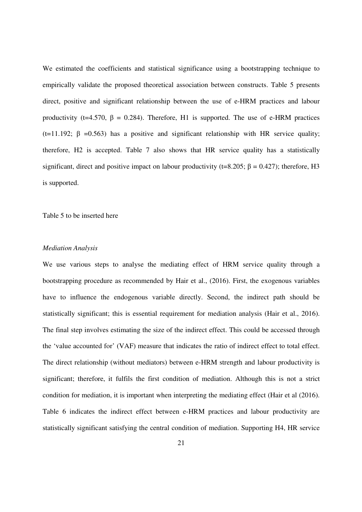We estimated the coefficients and statistical significance using a bootstrapping technique to empirically validate the proposed theoretical association between constructs. Table 5 presents direct, positive and significant relationship between the use of e-HRM practices and labour productivity (t=4.570,  $\beta$  = 0.284). Therefore, H1 is supported. The use of e-HRM practices (t=11.192;  $\beta$  =0.563) has a positive and significant relationship with HR service quality; therefore, H2 is accepted. Table 7 also shows that HR service quality has a statistically significant, direct and positive impact on labour productivity (t=8.205;  $\beta = 0.427$ ); therefore, H3 is supported.

Table 5 to be inserted here

# *Mediation Analysis*

We use various steps to analyse the mediating effect of HRM service quality through a bootstrapping procedure as recommended by Hair et al., (2016). First, the exogenous variables have to influence the endogenous variable directly. Second, the indirect path should be statistically significant; this is essential requirement for mediation analysis (Hair et al., 2016). The final step involves estimating the size of the indirect effect. This could be accessed through the 'value accounted for' (VAF) measure that indicates the ratio of indirect effect to total effect. The direct relationship (without mediators) between e-HRM strength and labour productivity is significant; therefore, it fulfils the first condition of mediation. Although this is not a strict condition for mediation, it is important when interpreting the mediating effect (Hair et al (2016). Table 6 indicates the indirect effect between e-HRM practices and labour productivity are statistically significant satisfying the central condition of mediation. Supporting H4, HR service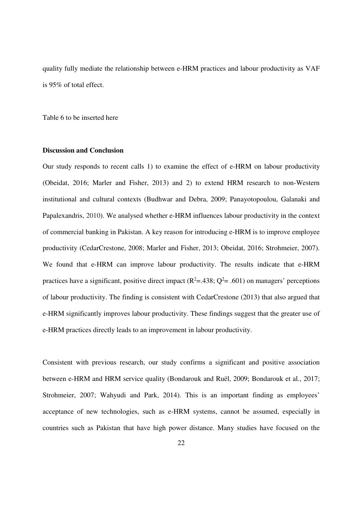quality fully mediate the relationship between e-HRM practices and labour productivity as VAF is 95% of total effect.

Table 6 to be inserted here

# **Discussion and Conclusion**

Our study responds to recent calls 1) to examine the effect of e-HRM on labour productivity (Obeidat, 2016; Marler and Fisher, 2013) and 2) to extend HRM research to non-Western institutional and cultural contexts (Budhwar and Debra, 2009; Panayotopoulou, Galanaki and Papalexandris, 2010). We analysed whether e-HRM influences labour productivity in the context of commercial banking in Pakistan. A key reason for introducing e-HRM is to improve employee productivity (CedarCrestone, 2008; Marler and Fisher, 2013; Obeidat, 2016; Strohmeier, 2007). We found that e-HRM can improve labour productivity. The results indicate that e-HRM practices have a significant, positive direct impact  $(R^2 = .438; Q^2 = .601)$  on managers' perceptions of labour productivity. The finding is consistent with CedarCrestone (2013) that also argued that e-HRM significantly improves labour productivity. These findings suggest that the greater use of e-HRM practices directly leads to an improvement in labour productivity.

Consistent with previous research, our study confirms a significant and positive association between e-HRM and HRM service quality (Bondarouk and Ruël, 2009; Bondarouk et al., 2017; Strohmeier, 2007; Wahyudi and Park, 2014). This is an important finding as employees' acceptance of new technologies, such as e-HRM systems, cannot be assumed, especially in countries such as Pakistan that have high power distance. Many studies have focused on the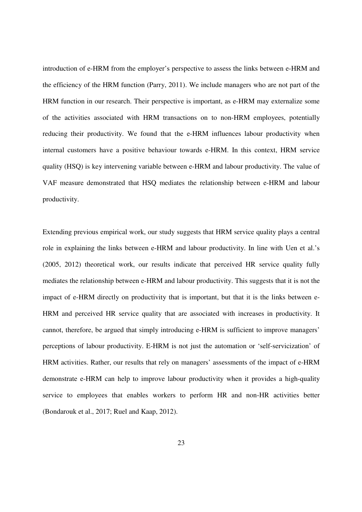introduction of e-HRM from the employer's perspective to assess the links between e-HRM and the efficiency of the HRM function (Parry, 2011). We include managers who are not part of the HRM function in our research. Their perspective is important, as e-HRM may externalize some of the activities associated with HRM transactions on to non-HRM employees, potentially reducing their productivity. We found that the e-HRM influences labour productivity when internal customers have a positive behaviour towards e-HRM. In this context, HRM service quality (HSQ) is key intervening variable between e-HRM and labour productivity. The value of VAF measure demonstrated that HSQ mediates the relationship between e-HRM and labour productivity.

Extending previous empirical work, our study suggests that HRM service quality plays a central role in explaining the links between e-HRM and labour productivity. In line with Uen et al.'s (2005, 2012) theoretical work, our results indicate that perceived HR service quality fully mediates the relationship between e-HRM and labour productivity. This suggests that it is not the impact of e-HRM directly on productivity that is important, but that it is the links between e-HRM and perceived HR service quality that are associated with increases in productivity. It cannot, therefore, be argued that simply introducing e-HRM is sufficient to improve managers' perceptions of labour productivity. E-HRM is not just the automation or 'self-servicization' of HRM activities. Rather, our results that rely on managers' assessments of the impact of e-HRM demonstrate e-HRM can help to improve labour productivity when it provides a high-quality service to employees that enables workers to perform HR and non-HR activities better (Bondarouk et al., 2017; Ruel and Kaap, 2012).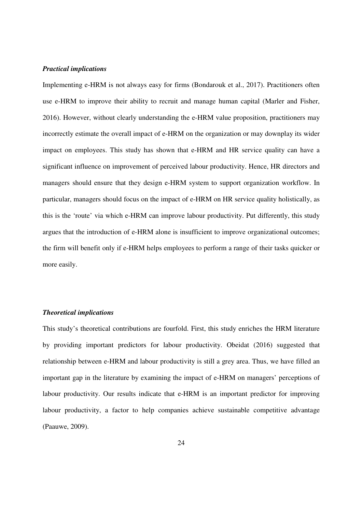# *Practical implications*

Implementing e-HRM is not always easy for firms (Bondarouk et al., 2017). Practitioners often use e-HRM to improve their ability to recruit and manage human capital (Marler and Fisher, 2016). However, without clearly understanding the e-HRM value proposition, practitioners may incorrectly estimate the overall impact of e-HRM on the organization or may downplay its wider impact on employees. This study has shown that e-HRM and HR service quality can have a significant influence on improvement of perceived labour productivity. Hence, HR directors and managers should ensure that they design e-HRM system to support organization workflow. In particular, managers should focus on the impact of e-HRM on HR service quality holistically, as this is the 'route' via which e-HRM can improve labour productivity. Put differently, this study argues that the introduction of e-HRM alone is insufficient to improve organizational outcomes; the firm will benefit only if e-HRM helps employees to perform a range of their tasks quicker or more easily.

#### *Theoretical implications*

This study's theoretical contributions are fourfold. First, this study enriches the HRM literature by providing important predictors for labour productivity. Obeidat (2016) suggested that relationship between e-HRM and labour productivity is still a grey area. Thus, we have filled an important gap in the literature by examining the impact of e-HRM on managers' perceptions of labour productivity. Our results indicate that e-HRM is an important predictor for improving labour productivity, a factor to help companies achieve sustainable competitive advantage (Paauwe, 2009).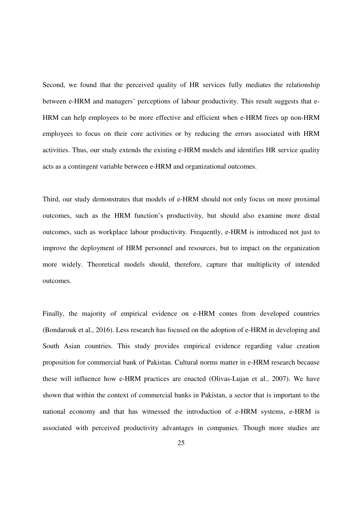Second, we found that the perceived quality of HR services fully mediates the relationship between e-HRM and managers' perceptions of labour productivity. This result suggests that e-HRM can help employees to be more effective and efficient when e-HRM frees up non-HRM employees to focus on their core activities or by reducing the errors associated with HRM activities. Thus, our study extends the existing e-HRM models and identifies HR service quality acts as a contingent variable between e-HRM and organizational outcomes.

Third, our study demonstrates that models of e-HRM should not only focus on more proximal outcomes, such as the HRM function's productivity, but should also examine more distal outcomes, such as workplace labour productivity. Frequently, e-HRM is introduced not just to improve the deployment of HRM personnel and resources, but to impact on the organization more widely. Theoretical models should, therefore, capture that multiplicity of intended outcomes.

Finally, the majority of empirical evidence on e-HRM comes from developed countries (Bondarouk et al., 2016). Less research has focused on the adoption of e-HRM in developing and South Asian countries. This study provides empirical evidence regarding value creation proposition for commercial bank of Pakistan. Cultural norms matter in e-HRM research because these will influence how e-HRM practices are enacted (Olivas-Lujan et al., 2007). We have shown that within the context of commercial banks in Pakistan, a sector that is important to the national economy and that has witnessed the introduction of e-HRM systems, e-HRM is associated with perceived productivity advantages in companies. Though more studies are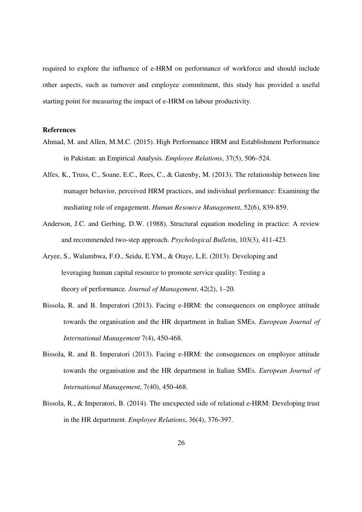required to explore the influence of e-HRM on performance of workforce and should include other aspects, such as turnover and employee commitment, this study has provided a useful starting point for measuring the impact of e-HRM on labour productivity.

# **References**

- Ahmad, M. and Allen, M.M.C. (2015). High Performance HRM and Establishment Performance in Pakistan: an Empirical Analysis. *Employee Relations*, 37(5), 506–524.
- Alfes, K., Truss, C., Soane, E.C., Rees, C., & Gatenby, M. (2013). The relationship between line manager behavior, perceived HRM practices, and individual performance: Examining the mediating role of engagement. *Human Resource Management*, 52(6), 839-859.
- Anderson, J.C. and Gerbing, D.W. (1988). Structural equation modeling in practice: A review and recommended two-step approach. *Psychological Bulletin*, 103(3), 411-423.
- Aryee, S., Walumbwa, F.O., Seidu, E.YM., & Otaye, L.E. (2013). Developing and leveraging human capital resource to promote service quality: Testing a theory of performance*. Journal of Management*, 42(2), 1–20.
- Bissola, R. and B. Imperatori (2013). Facing e-HRM: the consequences on employee attitude towards the organisation and the HR department in Italian SMEs. *European Journal of International Management* 7(4), 450-468.
- Bissola, R. and B. Imperatori (2013). Facing e-HRM: the consequences on employee attitude towards the organisation and the HR department in Italian SMEs. *European Journal of International Management*, 7(40), 450-468.
- Bissola, R., & Imperatori, B. (2014). The unexpected side of relational e-HRM: Developing trust in the HR department. *Employee Relations*, 36(4), 376-397.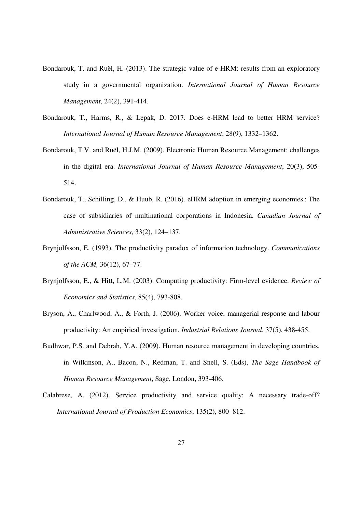- Bondarouk, T. and Ruël, H. (2013). The strategic value of e-HRM: results from an exploratory study in a governmental organization. *International Journal of Human Resource Management*, 24(2), 391-414.
- Bondarouk, T., Harms, R., & Lepak, D. 2017. Does e-HRM lead to better HRM service? *International Journal of Human Resource Management*, 28(9), 1332–1362.
- Bondarouk, T.V. and Ruël, H.J.M. (2009). Electronic Human Resource Management: challenges in the digital era. *International Journal of Human Resource Management*, 20(3), 505- 514.
- Bondarouk, T., Schilling, D., & Huub, R. (2016). eHRM adoption in emerging economies : The case of subsidiaries of multinational corporations in Indonesia. *Canadian Journal of Administrative Sciences*, 33(2), 124–137.
- Brynjolfsson, E. (1993). The productivity paradox of information technology. *Communications of the ACM,* 36(12), 67–77.
- Brynjolfsson, E., & Hitt, L.M. (2003). Computing productivity: Firm-level evidence. *Review of Economics and Statistics*, 85(4), 793-808.
- Bryson, A., Charlwood, A., & Forth, J. (2006). Worker voice, managerial response and labour productivity: An empirical investigation. *Industrial Relations Journal*, 37(5), 438-455.
- Budhwar, P.S. and Debrah, Y.A. (2009). Human resource management in developing countries, in Wilkinson, A., Bacon, N., Redman, T. and Snell, S. (Eds), *The Sage Handbook of Human Resource Management*, Sage, London, 393-406.
- Calabrese, A. (2012). Service productivity and service quality: A necessary trade-off? *International Journal of Production Economics*, 135(2), 800–812.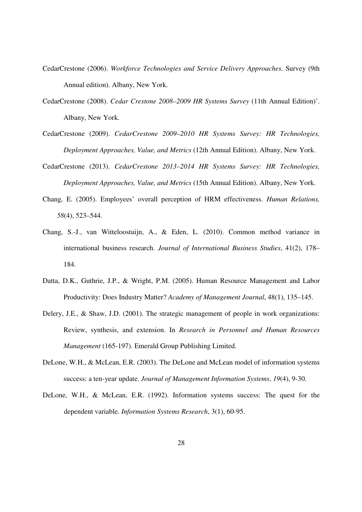- CedarCrestone (2006). *Workforce Technologies and Service Delivery Approaches*. Survey (9th Annual edition). Albany, New York.
- CedarCrestone (2008). *Cedar Crestone 2008–2009 HR Systems Survey* (11th Annual Edition)'. Albany, New York.
- CedarCrestone (2009). *CedarCrestone 2009–2010 HR Systems Survey: HR Technologies, Deployment Approaches, Value, and Metrics* (12th Annual Edition). Albany, New York.
- CedarCrestone (2013). *CedarCrestone 2013–2014 HR Systems Survey: HR Technologies, Deployment Approaches, Value, and Metrics* (15th Annual Edition). Albany, New York.
- Chang, E. (2005). Employees' overall perception of HRM effectiveness. *Human Relations, 58*(4), 523–544.
- Chang, S.-J., van Witteloostuijn, A., & Eden, L. (2010). Common method variance in international business research. *Journal of International Business Studies*, 41(2), 178– 184.
- Datta, D.K., Guthrie, J.P., & Wright, P.M. (2005). Human Resource Management and Labor Productivity: Does Industry Matter? *Academy of Management Journal*, 48(1), 135–145.
- Delery, J.E., & Shaw, J.D. (2001). The strategic management of people in work organizations: Review, synthesis, and extension. In *Research in Personnel and Human Resources Management* (165-197). Emerald Group Publishing Limited.
- DeLone, W.H., & McLean, E.R. (2003). The DeLone and McLean model of information systems success: a ten-year update. *Journal of Management Information Systems*, *19*(4), 9-30.
- DeLone, W.H., & McLean, E.R. (1992). Information systems success: The quest for the dependent variable. *Information Systems Research*, 3(1), 60-95.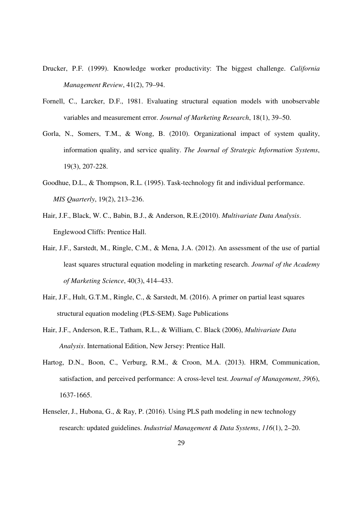- Drucker, P.F. (1999). Knowledge worker productivity: The biggest challenge. *California Management Review*, 41(2), 79–94.
- Fornell, C., Larcker, D.F., 1981. Evaluating structural equation models with unobservable variables and measurement error. *Journal of Marketing Research*, 18(1), 39–50.
- Gorla, N., Somers, T.M., & Wong, B. (2010). Organizational impact of system quality, information quality, and service quality. *The Journal of Strategic Information Systems*, 19(3), 207-228.
- Goodhue, D.L., & Thompson, R.L. (1995). Task-technology fit and individual performance. *MIS Quarterly*, 19(2), 213–236.
- Hair, J.F., Black, W. C., Babin, B.J., & Anderson, R.E.(2010). *Multivariate Data Analysis*. Englewood Cliffs: Prentice Hall.
- Hair, J.F., Sarstedt, M., Ringle, C.M., & Mena, J.A. (2012). An assessment of the use of partial least squares structural equation modeling in marketing research. *Journal of the Academy of Marketing Science*, 40(3), 414–433.
- Hair, J.F., Hult, G.T.M., Ringle, C., & Sarstedt, M. (2016). A primer on partial least squares structural equation modeling (PLS-SEM). Sage Publications
- Hair, J.F., Anderson, R.E., Tatham, R.L., & William, C. Black (2006), *Multivariate Data Analysis*. International Edition, New Jersey: Prentice Hall.
- Hartog, D.N., Boon, C., Verburg, R.M., & Croon, M.A. (2013). HRM, Communication, satisfaction, and perceived performance: A cross-level test. *Journal of Management*, *39*(6), 1637-1665.
- Henseler, J., Hubona, G., & Ray, P. (2016). Using PLS path modeling in new technology research: updated guidelines. *Industrial Management & Data Systems*, *116*(1), 2–20.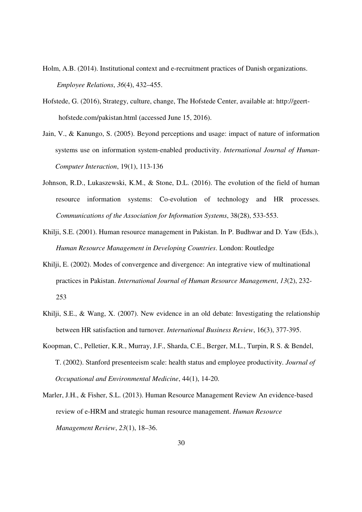- Holm, A.B. (2014). Institutional context and e-recruitment practices of Danish organizations. *Employee Relations*, *36*(4), 432–455.
- Hofstede, G. (2016), Strategy, culture, change, The Hofstede Center, available at: http://geert hofstede.com/pakistan.html (accessed June 15, 2016).
- Jain, V., & Kanungo, S. (2005). Beyond perceptions and usage: impact of nature of information systems use on information system-enabled productivity. *International Journal of Human-Computer Interaction*, 19(1), 113-136
- Johnson, R.D., Lukaszewski, K.M., & Stone, D.L. (2016). The evolution of the field of human resource information systems: Co-evolution of technology and HR processes. *Communications of the Association for Information Systems*, 38(28), 533-553.
- Khilji, S.E. (2001). Human resource management in Pakistan. In P. Budhwar and D. Yaw (Eds.), *Human Resource Management in Developing Countries*. London: Routledge
- Khilji, E. (2002). Modes of convergence and divergence: An integrative view of multinational practices in Pakistan. *International Journal of Human Resource Management*, *13*(2), 232- 253
- Khilji, S.E., & Wang, X. (2007). New evidence in an old debate: Investigating the relationship between HR satisfaction and turnover. *International Business Review*, 16(3), 377-395.
- Koopman, C., Pelletier, K.R., Murray, J.F., Sharda, C.E., Berger, M.L., Turpin, R S. & Bendel, T. (2002). Stanford presenteeism scale: health status and employee productivity. *Journal of Occupational and Environmental Medicine*, 44(1), 14-20.
- Marler, J.H., & Fisher, S.L. (2013). Human Resource Management Review An evidence-based review of e-HRM and strategic human resource management. *Human Resource Management Review*, *23*(1), 18–36.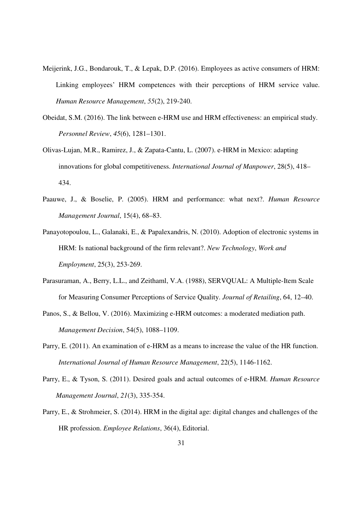- Meijerink, J.G., Bondarouk, T., & Lepak, D.P. (2016). Employees as active consumers of HRM: Linking employees' HRM competences with their perceptions of HRM service value. *Human Resource Management*, *55*(2), 219-240.
- Obeidat, S.M. (2016). The link between e-HRM use and HRM effectiveness: an empirical study. *Personnel Review*, *45*(6), 1281–1301.
- Olivas-Lujan, M.R., Ramirez, J., & Zapata-Cantu, L. (2007). e-HRM in Mexico: adapting innovations for global competitiveness. *International Journal of Manpower*, 28(5), 418– 434.
- Paauwe, J., & Boselie, P. (2005). HRM and performance: what next?. *Human Resource Management Journal*, 15(4), 68–83.
- Panayotopoulou, L., Galanaki, E., & Papalexandris, N. (2010). Adoption of electronic systems in HRM: Is national background of the firm relevant?. *New Technology*, *Work and Employment*, 25(3), 253-269.
- Parasuraman, A., Berry, L.L., and Zeithaml, V.A. (1988), SERVQUAL: A Multiple-Item Scale for Measuring Consumer Perceptions of Service Quality. *Journal of Retailing*, 64, 12–40.
- Panos, S., & Bellou, V. (2016). Maximizing e-HRM outcomes: a moderated mediation path. *Management Decision*, 54(5), 1088–1109.
- Parry, E. (2011). An examination of e-HRM as a means to increase the value of the HR function. *International Journal of Human Resource Management*, 22(5), 1146-1162.
- Parry, E., & Tyson, S. (2011). Desired goals and actual outcomes of e‐HRM. *Human Resource Management Journal*, *21*(3), 335-354.
- Parry, E., & Strohmeier, S. (2014). HRM in the digital age: digital changes and challenges of the HR profession. *Employee Relations*, 36(4), Editorial.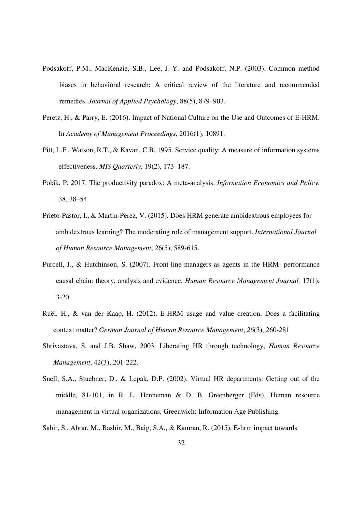- Podsakoff, P.M., MacKenzie, S.B., Lee, J.-Y. and Podsakoff, N.P. (2003). Common method biases in behavioral research: A critical review of the literature and recommended remedies. *Journal of Applied Psychology*, 88(5), 879–903.
- Peretz, H., & Parry, E. (2016). Impact of National Culture on the Use and Outcomes of E-HRM. In *Academy of Management Proceedings*, 2016(1), 10891.
- Pitt, L.F., Watson, R.T., & Kavan, C.B. 1995. Service quality: A measure of information systems effectiveness. *MIS Quarterly*, 19(2), 173–187.
- Polák, P. 2017. The productivity paradox: A meta-analysis. *Information Economics and Policy*, 38, 38–54.
- Prieto-Pastor, I., & Martin-Perez, V. (2015). Does HRM generate ambidextrous employees for ambidextrous learning? The moderating role of management support. *International Journal of Human Resource Management*, 26(5), 589-615.
- Purcell, J., & Hutchinson, S. (2007). Front-line managers as agents in the HRM- performance causal chain: theory, analysis and evidence. *Human Resource Management Journal,* 17(1), 3-20.
- Ruël, H., & van der Kaap, H. (2012). E-HRM usage and value creation. Does a facilitating context matter? *German Journal of Human Resource Management*, *26*(3), 260-281
- Shrivastava, S. and J.B. Shaw, 2003. Liberating HR through technology, *Human Resource Management*, 42(3), 201-222.
- Snell, S.A., Stuebner, D., & Lepak, D.P. (2002). Virtual HR departments: Getting out of the middle, 81-101, in R. L. Henneman & D. B. Greenberger (Eds). Human resource management in virtual organizations, Greenwich: Information Age Publishing.
- Sabir, S., Abrar, M., Bashir, M., Baig, S.A., & Kamran, R. (2015). E-hrm impact towards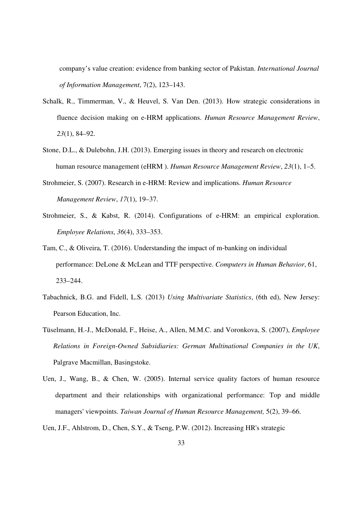company's value creation: evidence from banking sector of Pakistan. *International Journal of Information Management*, 7(2), 123–143.

- Schalk, R., Timmerman, V., & Heuvel, S. Van Den. (2013). How strategic considerations in fluence decision making on e-HRM applications. *Human Resource Management Review*, *23*(1), 84–92.
- Stone, D.L., & Dulebohn, J.H. (2013). Emerging issues in theory and research on electronic human resource management (eHRM ). *Human Resource Management Review*, *23*(1), 1–5.
- Strohmeier, S. (2007). Research in e-HRM: Review and implications. *Human Resource Management Review*, *17*(1), 19–37.
- Strohmeier, S., & Kabst, R. (2014). Configurations of e-HRM: an empirical exploration. *Employee Relations*, *36*(4), 333–353.
- Tam, C., & Oliveira, T. (2016). Understanding the impact of m-banking on individual performance: DeLone & McLean and TTF perspective. *Computers in Human Behavior*, 61, 233–244.
- Tabachnick, B.G. and Fidell, L.S. (2013) *Using Multivariate Statistics*, (6th ed), New Jersey: Pearson Education, Inc.
- Tüselmann, H.-J., McDonald, F., Heise, A., Allen, M.M.C. and Voronkova, S. (2007), *Employee Relations in Foreign-Owned Subsidiaries: German Multinational Companies in the UK*, Palgrave Macmillan, Basingstoke.
- Uen, J., Wang, B., & Chen, W. (2005). Internal service quality factors of human resource department and their relationships with organizational performance: Top and middle managers' viewpoints. *Taiwan Journal of Human Resource Management,* 5(2), 39–66.
- Uen, J.F., Ahlstrom, D., Chen, S.Y., & Tseng, P.W. (2012). Increasing HR's strategic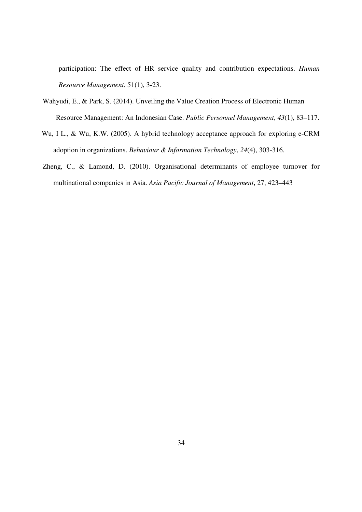participation: The effect of HR service quality and contribution expectations. *Human Resource Management*, 51(1), 3-23.

- Wahyudi, E., & Park, S. (2014). Unveiling the Value Creation Process of Electronic Human Resource Management: An Indonesian Case. *Public Personnel Management*, *43*(1), 83–117.
- Wu, I L., & Wu, K.W. (2005). A hybrid technology acceptance approach for exploring e-CRM adoption in organizations. *Behaviour & Information Technology*, *24*(4), 303-316.
- Zheng, C., & Lamond, D. (2010). Organisational determinants of employee turnover for multinational companies in Asia. *Asia Pacific Journal of Management*, 27, 423–443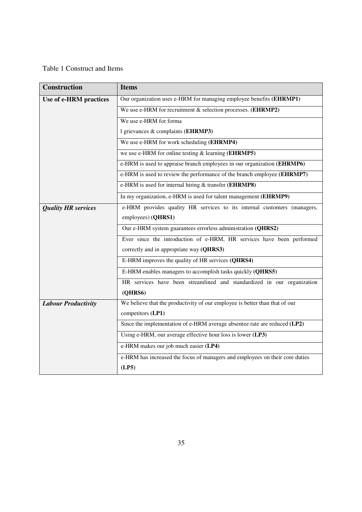# Table 1 Construct and Items

| <b>Construction</b>        | <b>Items</b>                                                                 |  |  |  |  |  |  |
|----------------------------|------------------------------------------------------------------------------|--|--|--|--|--|--|
| Use of e-HRM practices     | Our organization uses e-HRM for managing employee benefits (EHRMP1)          |  |  |  |  |  |  |
|                            | We use e-HRM for recruitment & selection processes. (EHRMP2)                 |  |  |  |  |  |  |
|                            | We use e-HRM for forma                                                       |  |  |  |  |  |  |
|                            | 1 grievances & complaints (EHRMP3)                                           |  |  |  |  |  |  |
|                            | We use e-HRM for work scheduling (EHRMP4)                                    |  |  |  |  |  |  |
|                            | we use e-HRM for online testing $&$ learning ( <b>EHRMP5</b> )               |  |  |  |  |  |  |
|                            | e-HRM is used to appraise branch employees in our organization (EHRMP6)      |  |  |  |  |  |  |
|                            | e-HRM is used to review the performance of the branch employee (EHRMP7)      |  |  |  |  |  |  |
|                            | e-HRM is used for internal hiring & transfer (EHRMP8)                        |  |  |  |  |  |  |
|                            | In my organization, e-HRM is used for talent management (EHRMP9)             |  |  |  |  |  |  |
| <b>Quality HR services</b> | e-HRM provides quality HR services to its internal customers (managers,      |  |  |  |  |  |  |
|                            | employees) (QHRS1)                                                           |  |  |  |  |  |  |
|                            | Our e-HRM system guarantees errorless administration (QHRS2)                 |  |  |  |  |  |  |
|                            | Ever since the introduction of e-HRM, HR services have been performed        |  |  |  |  |  |  |
|                            | correctly and in appropriate way (QHRS3)                                     |  |  |  |  |  |  |
|                            | E-HRM improves the quality of HR services (QHRS4)                            |  |  |  |  |  |  |
|                            | E-HRM enables managers to accomplish tasks quickly (QHRS5)                   |  |  |  |  |  |  |
|                            | HR services have been streamlined and standardized in our organization       |  |  |  |  |  |  |
|                            | (QHRS6)                                                                      |  |  |  |  |  |  |
| <b>Labour Productivity</b> | We believe that the productivity of our employee is better than that of our  |  |  |  |  |  |  |
|                            | competitors (LP1)                                                            |  |  |  |  |  |  |
|                            | Since the implementation of e-HRM average absentee rate are reduced (LP2)    |  |  |  |  |  |  |
|                            | Using e-HRM, our average effective hour loss is lower (LP3)                  |  |  |  |  |  |  |
|                            | e-HRM makes our job much easier (LP4)                                        |  |  |  |  |  |  |
|                            | e-HRM has increased the focus of managers and employees on their core duties |  |  |  |  |  |  |
|                            | (LP5)                                                                        |  |  |  |  |  |  |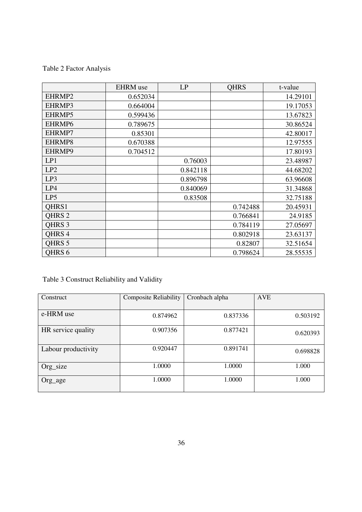Table 2 Factor Analysis

|                   | <b>EHRM</b> use | LP       | <b>QHRS</b> | t-value  |
|-------------------|-----------------|----------|-------------|----------|
| EHRMP2            | 0.652034        |          |             | 14.29101 |
| EHRMP3            | 0.664004        |          |             | 19.17053 |
| EHRMP5            | 0.599436        |          |             | 13.67823 |
| EHRMP6            | 0.789675        |          |             | 30.86524 |
| EHRMP7            | 0.85301         |          |             | 42.80017 |
| EHRMP8            | 0.670388        |          |             | 12.97555 |
| EHRMP9            | 0.704512        |          |             | 17.80193 |
| LP1               |                 | 0.76003  |             | 23.48987 |
| LP2               |                 | 0.842118 |             | 44.68202 |
| LP3               |                 | 0.896798 |             | 63.96608 |
| LP4               |                 | 0.840069 |             | 31.34868 |
| LP5               |                 | 0.83508  |             | 32.75188 |
| QHRS1             |                 |          | 0.742488    | 20.45931 |
| QHRS <sub>2</sub> |                 |          | 0.766841    | 24.9185  |
| QHRS <sub>3</sub> |                 |          | 0.784119    | 27.05697 |
| QHRS 4            |                 |          | 0.802918    | 23.63137 |
| QHRS <sub>5</sub> |                 |          | 0.82807     | 32.51654 |
| <b>OHRS 6</b>     |                 |          | 0.798624    | 28.55535 |

Table 3 Construct Reliability and Validity

| Construct           | <b>Composite Reliability</b> | Cronbach alpha | <b>AVE</b> |
|---------------------|------------------------------|----------------|------------|
|                     |                              |                |            |
| e-HRM use           | 0.874962                     | 0.837336       | 0.503192   |
| HR service quality  | 0.907356                     | 0.877421       | 0.620393   |
| Labour productivity | 0.920447                     | 0.891741       | 0.698828   |
| Org_size            | 1.0000                       | 1.0000         | 1.000      |
| Org_age             | 1.0000                       | 1.0000         | 1.000      |